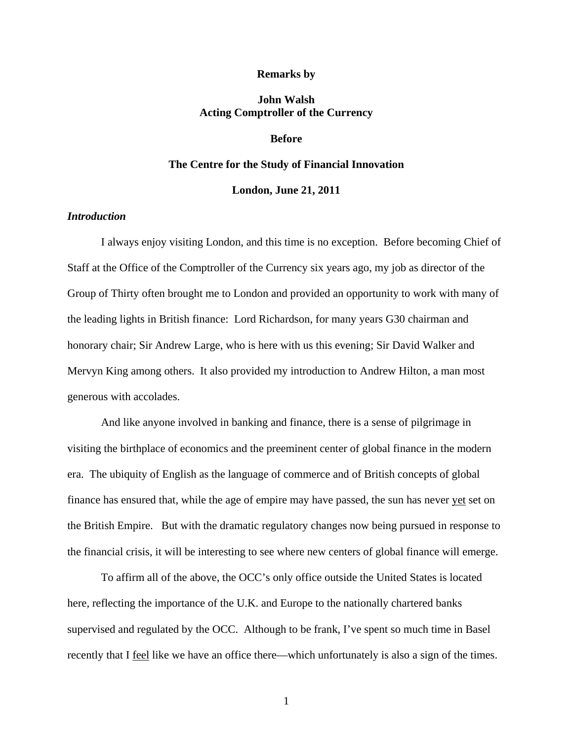#### **Remarks by**

# **John Walsh Acting Comptroller of the Currency**

# **Before**

# **The Centre for the Study of Financial Innovation**

#### **London, June 21, 2011**

# *Introduction*

I always enjoy visiting London, and this time is no exception. Before becoming Chief of Staff at the Office of the Comptroller of the Currency six years ago, my job as director of the Group of Thirty often brought me to London and provided an opportunity to work with many of the leading lights in British finance: Lord Richardson, for many years G30 chairman and honorary chair; Sir Andrew Large, who is here with us this evening; Sir David Walker and Mervyn King among others. It also provided my introduction to Andrew Hilton, a man most generous with accolades.

And like anyone involved in banking and finance, there is a sense of pilgrimage in visiting the birthplace of economics and the preeminent center of global finance in the modern era. The ubiquity of English as the language of commerce and of British concepts of global finance has ensured that, while the age of empire may have passed, the sun has never yet set on the British Empire. But with the dramatic regulatory changes now being pursued in response to the financial crisis, it will be interesting to see where new centers of global finance will emerge.

To affirm all of the above, the OCC's only office outside the United States is located here, reflecting the importance of the U.K. and Europe to the nationally chartered banks supervised and regulated by the OCC. Although to be frank, I've spent so much time in Basel recently that I feel like we have an office there—which unfortunately is also a sign of the times.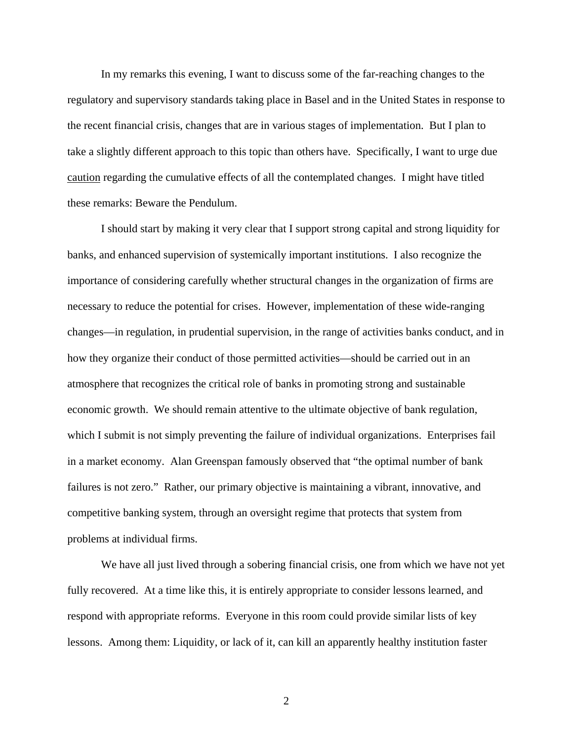In my remarks this evening, I want to discuss some of the far-reaching changes to the regulatory and supervisory standards taking place in Basel and in the United States in response to the recent financial crisis, changes that are in various stages of implementation. But I plan to take a slightly different approach to this topic than others have. Specifically, I want to urge due caution regarding the cumulative effects of all the contemplated changes. I might have titled these remarks: Beware the Pendulum.

I should start by making it very clear that I support strong capital and strong liquidity for banks, and enhanced supervision of systemically important institutions. I also recognize the importance of considering carefully whether structural changes in the organization of firms are necessary to reduce the potential for crises. However, implementation of these wide-ranging changes—in regulation, in prudential supervision, in the range of activities banks conduct, and in how they organize their conduct of those permitted activities—should be carried out in an atmosphere that recognizes the critical role of banks in promoting strong and sustainable economic growth. We should remain attentive to the ultimate objective of bank regulation, which I submit is not simply preventing the failure of individual organizations. Enterprises fail in a market economy. Alan Greenspan famously observed that "the optimal number of bank failures is not zero." Rather, our primary objective is maintaining a vibrant, innovative, and competitive banking system, through an oversight regime that protects that system from problems at individual firms.

We have all just lived through a sobering financial crisis, one from which we have not yet fully recovered. At a time like this, it is entirely appropriate to consider lessons learned, and respond with appropriate reforms. Everyone in this room could provide similar lists of key lessons. Among them: Liquidity, or lack of it, can kill an apparently healthy institution faster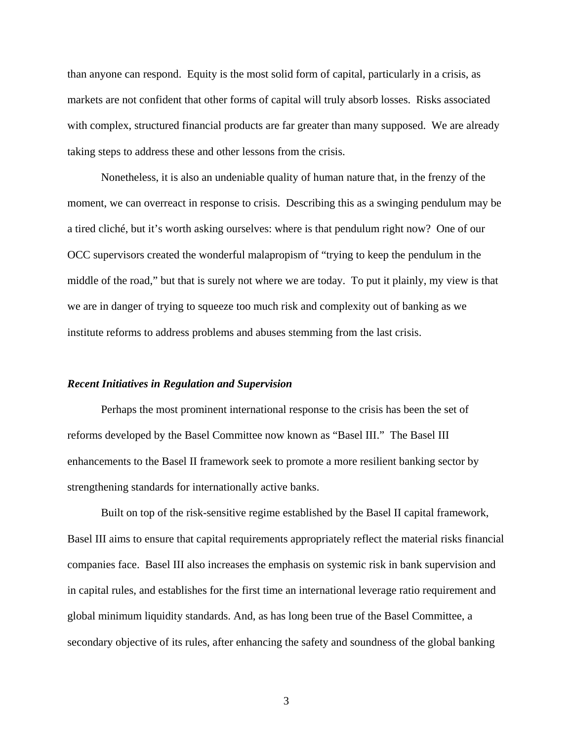than anyone can respond. Equity is the most solid form of capital, particularly in a crisis, as markets are not confident that other forms of capital will truly absorb losses. Risks associated with complex, structured financial products are far greater than many supposed. We are already taking steps to address these and other lessons from the crisis.

Nonetheless, it is also an undeniable quality of human nature that, in the frenzy of the moment, we can overreact in response to crisis. Describing this as a swinging pendulum may be a tired cliché, but it's worth asking ourselves: where is that pendulum right now? One of our OCC supervisors created the wonderful malapropism of "trying to keep the pendulum in the middle of the road," but that is surely not where we are today. To put it plainly, my view is that we are in danger of trying to squeeze too much risk and complexity out of banking as we institute reforms to address problems and abuses stemming from the last crisis.

### *Recent Initiatives in Regulation and Supervision*

Perhaps the most prominent international response to the crisis has been the set of reforms developed by the Basel Committee now known as "Basel III." The Basel III enhancements to the Basel II framework seek to promote a more resilient banking sector by strengthening standards for internationally active banks.

Built on top of the risk-sensitive regime established by the Basel II capital framework, Basel III aims to ensure that capital requirements appropriately reflect the material risks financial companies face. Basel III also increases the emphasis on systemic risk in bank supervision and in capital rules, and establishes for the first time an international leverage ratio requirement and global minimum liquidity standards. And, as has long been true of the Basel Committee, a secondary objective of its rules, after enhancing the safety and soundness of the global banking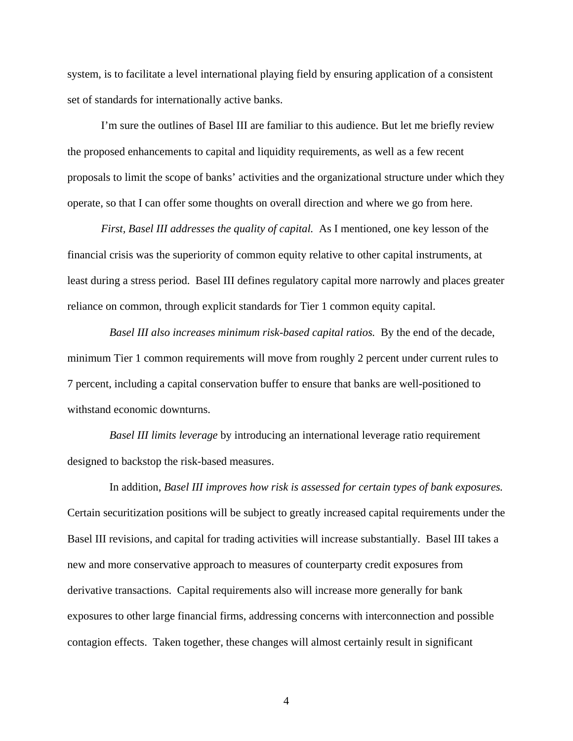system, is to facilitate a level international playing field by ensuring application of a consistent set of standards for internationally active banks.

I'm sure the outlines of Basel III are familiar to this audience. But let me briefly review the proposed enhancements to capital and liquidity requirements, as well as a few recent proposals to limit the scope of banks' activities and the organizational structure under which they operate, so that I can offer some thoughts on overall direction and where we go from here.

*First, Basel III addresses the quality of capital.* As I mentioned, one key lesson of the financial crisis was the superiority of common equity relative to other capital instruments, at least during a stress period. Basel III defines regulatory capital more narrowly and places greater reliance on common, through explicit standards for Tier 1 common equity capital.

*Basel III also increases minimum risk-based capital ratios.* By the end of the decade, minimum Tier 1 common requirements will move from roughly 2 percent under current rules to 7 percent, including a capital conservation buffer to ensure that banks are well-positioned to withstand economic downturns.

*Basel III limits leverage* by introducing an international leverage ratio requirement designed to backstop the risk-based measures.

 In addition, *Basel III improves how risk is assessed for certain types of bank exposures.*  Certain securitization positions will be subject to greatly increased capital requirements under the Basel III revisions, and capital for trading activities will increase substantially. Basel III takes a new and more conservative approach to measures of counterparty credit exposures from derivative transactions. Capital requirements also will increase more generally for bank exposures to other large financial firms, addressing concerns with interconnection and possible contagion effects. Taken together, these changes will almost certainly result in significant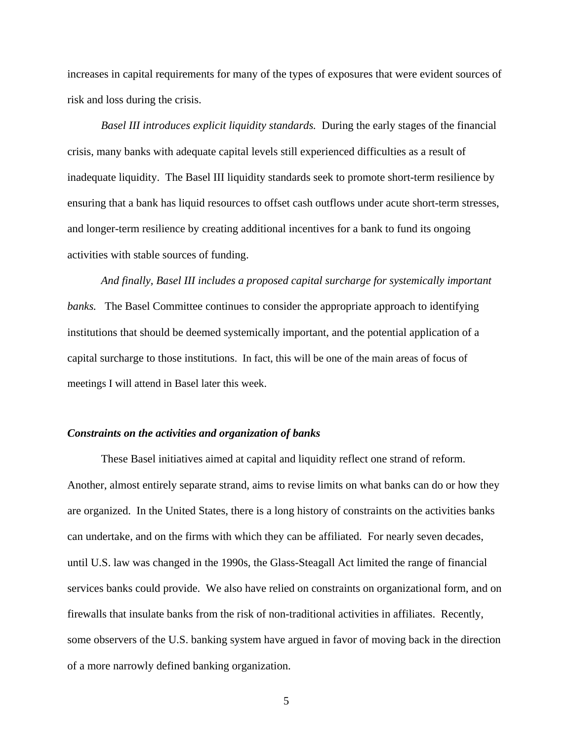increases in capital requirements for many of the types of exposures that were evident sources of risk and loss during the crisis.

*Basel III introduces explicit liquidity standards.* During the early stages of the financial crisis, many banks with adequate capital levels still experienced difficulties as a result of inadequate liquidity. The Basel III liquidity standards seek to promote short-term resilience by ensuring that a bank has liquid resources to offset cash outflows under acute short-term stresses, and longer-term resilience by creating additional incentives for a bank to fund its ongoing activities with stable sources of funding.

*And finally, Basel III includes a proposed capital surcharge for systemically important banks.* The Basel Committee continues to consider the appropriate approach to identifying institutions that should be deemed systemically important, and the potential application of a capital surcharge to those institutions. In fact, this will be one of the main areas of focus of meetings I will attend in Basel later this week.

## *Constraints on the activities and organization of banks*

These Basel initiatives aimed at capital and liquidity reflect one strand of reform. Another, almost entirely separate strand, aims to revise limits on what banks can do or how they are organized. In the United States, there is a long history of constraints on the activities banks can undertake, and on the firms with which they can be affiliated. For nearly seven decades, until U.S. law was changed in the 1990s, the Glass-Steagall Act limited the range of financial services banks could provide. We also have relied on constraints on organizational form, and on firewalls that insulate banks from the risk of non-traditional activities in affiliates. Recently, some observers of the U.S. banking system have argued in favor of moving back in the direction of a more narrowly defined banking organization.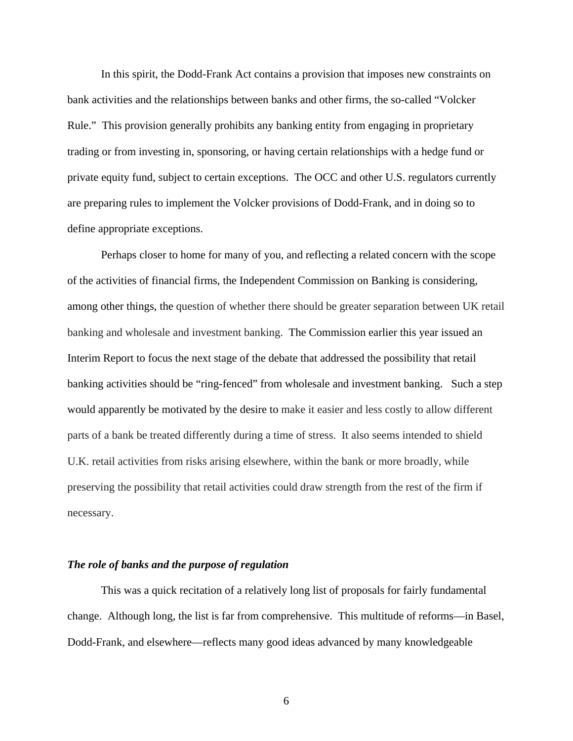In this spirit, the Dodd-Frank Act contains a provision that imposes new constraints on bank activities and the relationships between banks and other firms, the so-called "Volcker Rule." This provision generally prohibits any banking entity from engaging in proprietary trading or from investing in, sponsoring, or having certain relationships with a hedge fund or private equity fund, subject to certain exceptions. The OCC and other U.S. regulators currently are preparing rules to implement the Volcker provisions of Dodd-Frank, and in doing so to define appropriate exceptions.

Perhaps closer to home for many of you, and reflecting a related concern with the scope of the activities of financial firms, the Independent Commission on Banking is considering, among other things, the question of whether there should be greater separation between UK retail banking and wholesale and investment banking. The Commission earlier this year issued an Interim Report to focus the next stage of the debate that addressed the possibility that retail banking activities should be "ring-fenced" from wholesale and investment banking. Such a step would apparently be motivated by the desire to make it easier and less costly to allow different parts of a bank be treated differently during a time of stress. It also seems intended to shield U.K. retail activities from risks arising elsewhere, within the bank or more broadly, while preserving the possibility that retail activities could draw strength from the rest of the firm if necessary.

#### *The role of banks and the purpose of regulation*

This was a quick recitation of a relatively long list of proposals for fairly fundamental change. Although long, the list is far from comprehensive. This multitude of reforms—in Basel, Dodd-Frank, and elsewhere—reflects many good ideas advanced by many knowledgeable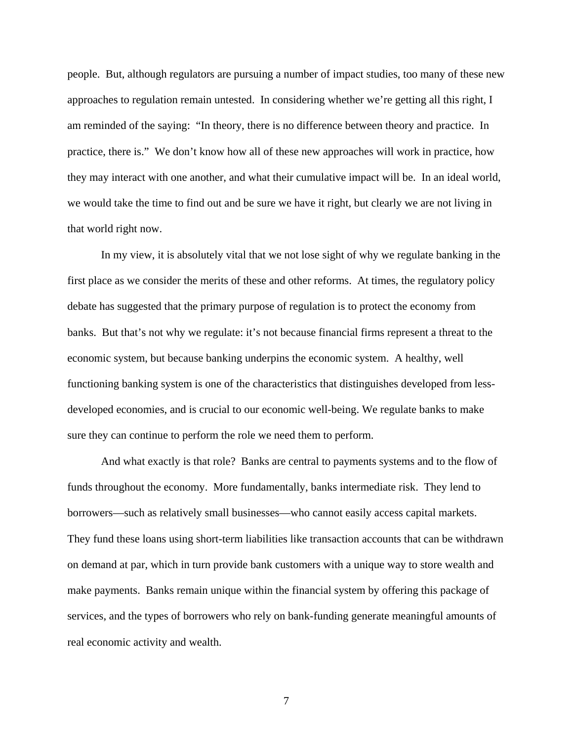people. But, although regulators are pursuing a number of impact studies, too many of these new approaches to regulation remain untested. In considering whether we're getting all this right, I am reminded of the saying: "In theory, there is no difference between theory and practice. In practice, there is." We don't know how all of these new approaches will work in practice, how they may interact with one another, and what their cumulative impact will be. In an ideal world, we would take the time to find out and be sure we have it right, but clearly we are not living in that world right now.

In my view, it is absolutely vital that we not lose sight of why we regulate banking in the first place as we consider the merits of these and other reforms. At times, the regulatory policy debate has suggested that the primary purpose of regulation is to protect the economy from banks. But that's not why we regulate: it's not because financial firms represent a threat to the economic system, but because banking underpins the economic system. A healthy, well functioning banking system is one of the characteristics that distinguishes developed from lessdeveloped economies, and is crucial to our economic well-being. We regulate banks to make sure they can continue to perform the role we need them to perform.

And what exactly is that role? Banks are central to payments systems and to the flow of funds throughout the economy. More fundamentally, banks intermediate risk. They lend to borrowers—such as relatively small businesses—who cannot easily access capital markets. They fund these loans using short-term liabilities like transaction accounts that can be withdrawn on demand at par, which in turn provide bank customers with a unique way to store wealth and make payments. Banks remain unique within the financial system by offering this package of services, and the types of borrowers who rely on bank-funding generate meaningful amounts of real economic activity and wealth.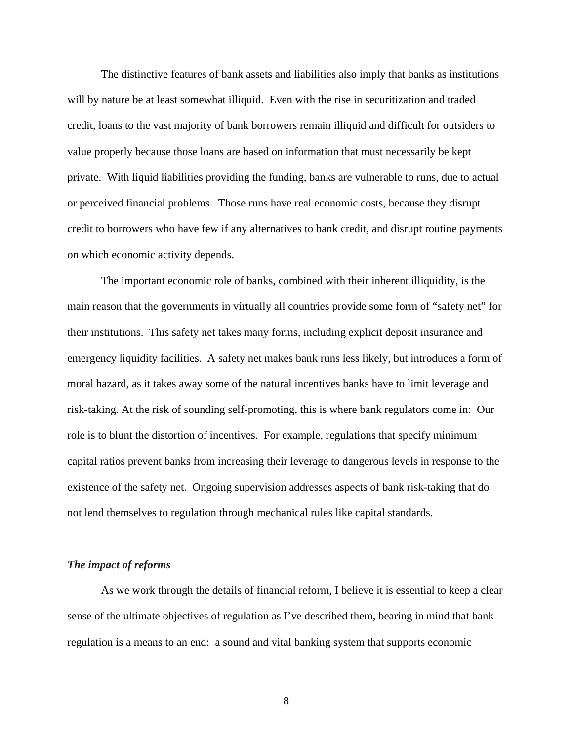The distinctive features of bank assets and liabilities also imply that banks as institutions will by nature be at least somewhat illiquid. Even with the rise in securitization and traded credit, loans to the vast majority of bank borrowers remain illiquid and difficult for outsiders to value properly because those loans are based on information that must necessarily be kept private. With liquid liabilities providing the funding, banks are vulnerable to runs, due to actual or perceived financial problems. Those runs have real economic costs, because they disrupt credit to borrowers who have few if any alternatives to bank credit, and disrupt routine payments on which economic activity depends.

The important economic role of banks, combined with their inherent illiquidity, is the main reason that the governments in virtually all countries provide some form of "safety net" for their institutions. This safety net takes many forms, including explicit deposit insurance and emergency liquidity facilities. A safety net makes bank runs less likely, but introduces a form of moral hazard, as it takes away some of the natural incentives banks have to limit leverage and risk-taking. At the risk of sounding self-promoting, this is where bank regulators come in: Our role is to blunt the distortion of incentives. For example, regulations that specify minimum capital ratios prevent banks from increasing their leverage to dangerous levels in response to the existence of the safety net. Ongoing supervision addresses aspects of bank risk-taking that do not lend themselves to regulation through mechanical rules like capital standards.

#### *The impact of reforms*

As we work through the details of financial reform, I believe it is essential to keep a clear sense of the ultimate objectives of regulation as I've described them, bearing in mind that bank regulation is a means to an end: a sound and vital banking system that supports economic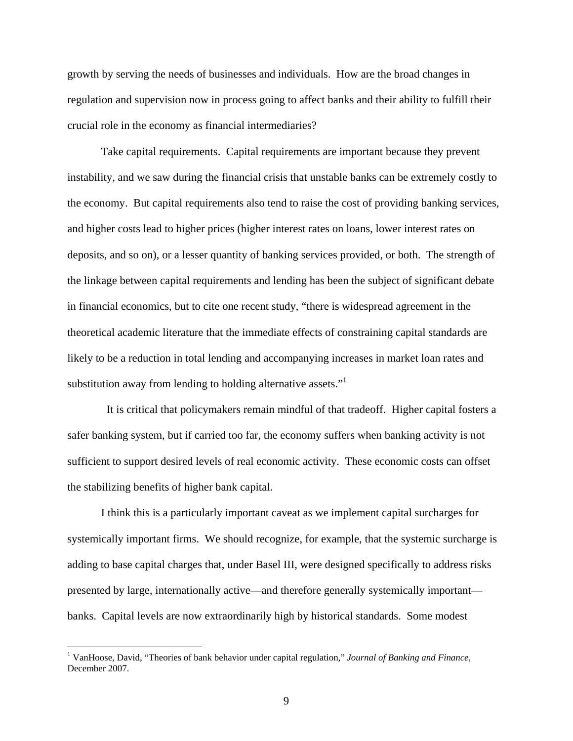growth by serving the needs of businesses and individuals. How are the broad changes in regulation and supervision now in process going to affect banks and their ability to fulfill their crucial role in the economy as financial intermediaries?

Take capital requirements. Capital requirements are important because they prevent instability, and we saw during the financial crisis that unstable banks can be extremely costly to the economy. But capital requirements also tend to raise the cost of providing banking services, and higher costs lead to higher prices (higher interest rates on loans, lower interest rates on deposits, and so on), or a lesser quantity of banking services provided, or both. The strength of the linkage between capital requirements and lending has been the subject of significant debate in financial economics, but to cite one recent study, "there is widespread agreement in the theoretical academic literature that the immediate effects of constraining capital standards are likely to be a reduction in total lending and accompanying increases in market loan rates and substitution away from lending to holding alternative assets."

 It is critical that policymakers remain mindful of that tradeoff. Higher capital fosters a safer banking system, but if carried too far, the economy suffers when banking activity is not sufficient to support desired levels of real economic activity. These economic costs can offset the stabilizing benefits of higher bank capital.

I think this is a particularly important caveat as we implement capital surcharges for systemically important firms. We should recognize, for example, that the systemic surcharge is adding to base capital charges that, under Basel III, were designed specifically to address risks presented by large, internationally active—and therefore generally systemically important banks. Capital levels are now extraordinarily high by historical standards. Some modest

<sup>&</sup>lt;sup>1</sup> VanHoose, David, "Theories of bank behavior under capital regulation," *Journal of Banking and Finance*, December 2007.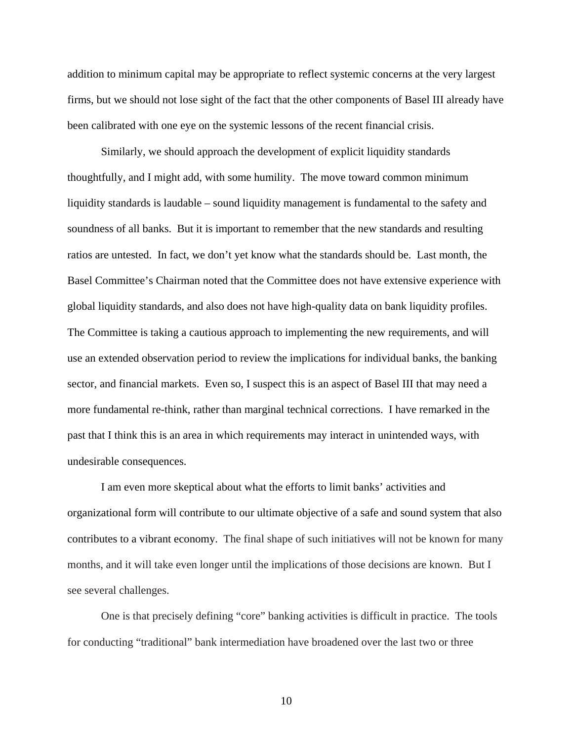addition to minimum capital may be appropriate to reflect systemic concerns at the very largest firms, but we should not lose sight of the fact that the other components of Basel III already have been calibrated with one eye on the systemic lessons of the recent financial crisis.

Similarly, we should approach the development of explicit liquidity standards thoughtfully, and I might add, with some humility. The move toward common minimum liquidity standards is laudable – sound liquidity management is fundamental to the safety and soundness of all banks. But it is important to remember that the new standards and resulting ratios are untested. In fact, we don't yet know what the standards should be. Last month, the Basel Committee's Chairman noted that the Committee does not have extensive experience with global liquidity standards, and also does not have high-quality data on bank liquidity profiles. The Committee is taking a cautious approach to implementing the new requirements, and will use an extended observation period to review the implications for individual banks, the banking sector, and financial markets. Even so, I suspect this is an aspect of Basel III that may need a more fundamental re-think, rather than marginal technical corrections. I have remarked in the past that I think this is an area in which requirements may interact in unintended ways, with undesirable consequences.

I am even more skeptical about what the efforts to limit banks' activities and organizational form will contribute to our ultimate objective of a safe and sound system that also contributes to a vibrant economy. The final shape of such initiatives will not be known for many months, and it will take even longer until the implications of those decisions are known. But I see several challenges.

One is that precisely defining "core" banking activities is difficult in practice. The tools for conducting "traditional" bank intermediation have broadened over the last two or three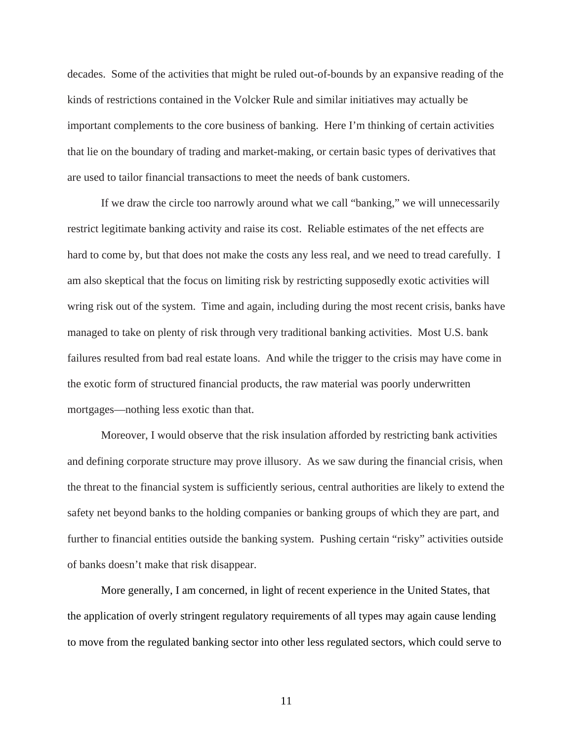decades. Some of the activities that might be ruled out-of-bounds by an expansive reading of the kinds of restrictions contained in the Volcker Rule and similar initiatives may actually be important complements to the core business of banking. Here I'm thinking of certain activities that lie on the boundary of trading and market-making, or certain basic types of derivatives that are used to tailor financial transactions to meet the needs of bank customers.

If we draw the circle too narrowly around what we call "banking," we will unnecessarily restrict legitimate banking activity and raise its cost. Reliable estimates of the net effects are hard to come by, but that does not make the costs any less real, and we need to tread carefully. I am also skeptical that the focus on limiting risk by restricting supposedly exotic activities will wring risk out of the system. Time and again, including during the most recent crisis, banks have managed to take on plenty of risk through very traditional banking activities. Most U.S. bank failures resulted from bad real estate loans. And while the trigger to the crisis may have come in the exotic form of structured financial products, the raw material was poorly underwritten mortgages—nothing less exotic than that.

Moreover, I would observe that the risk insulation afforded by restricting bank activities and defining corporate structure may prove illusory. As we saw during the financial crisis, when the threat to the financial system is sufficiently serious, central authorities are likely to extend the safety net beyond banks to the holding companies or banking groups of which they are part, and further to financial entities outside the banking system. Pushing certain "risky" activities outside of banks doesn't make that risk disappear.

More generally, I am concerned, in light of recent experience in the United States, that the application of overly stringent regulatory requirements of all types may again cause lending to move from the regulated banking sector into other less regulated sectors, which could serve to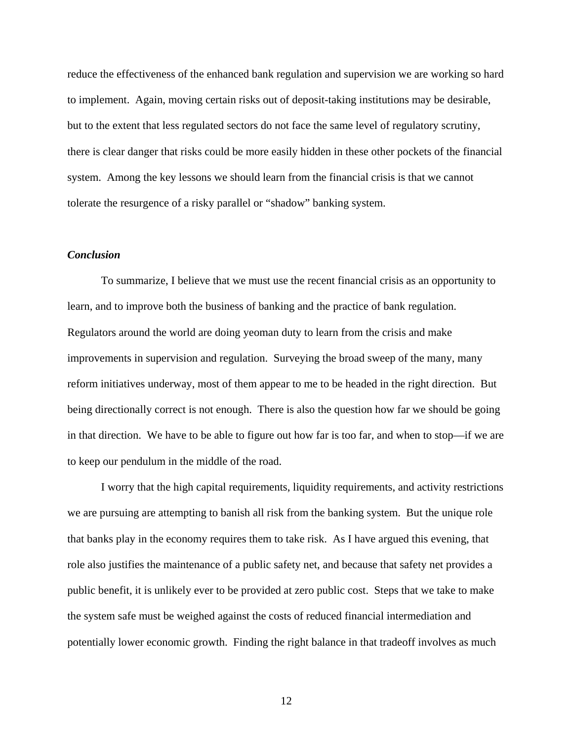reduce the effectiveness of the enhanced bank regulation and supervision we are working so hard to implement. Again, moving certain risks out of deposit-taking institutions may be desirable, but to the extent that less regulated sectors do not face the same level of regulatory scrutiny, there is clear danger that risks could be more easily hidden in these other pockets of the financial system. Among the key lessons we should learn from the financial crisis is that we cannot tolerate the resurgence of a risky parallel or "shadow" banking system.

## *Conclusion*

To summarize, I believe that we must use the recent financial crisis as an opportunity to learn, and to improve both the business of banking and the practice of bank regulation. Regulators around the world are doing yeoman duty to learn from the crisis and make improvements in supervision and regulation. Surveying the broad sweep of the many, many reform initiatives underway, most of them appear to me to be headed in the right direction. But being directionally correct is not enough. There is also the question how far we should be going in that direction. We have to be able to figure out how far is too far, and when to stop—if we are to keep our pendulum in the middle of the road.

I worry that the high capital requirements, liquidity requirements, and activity restrictions we are pursuing are attempting to banish all risk from the banking system. But the unique role that banks play in the economy requires them to take risk. As I have argued this evening, that role also justifies the maintenance of a public safety net, and because that safety net provides a public benefit, it is unlikely ever to be provided at zero public cost. Steps that we take to make the system safe must be weighed against the costs of reduced financial intermediation and potentially lower economic growth. Finding the right balance in that tradeoff involves as much